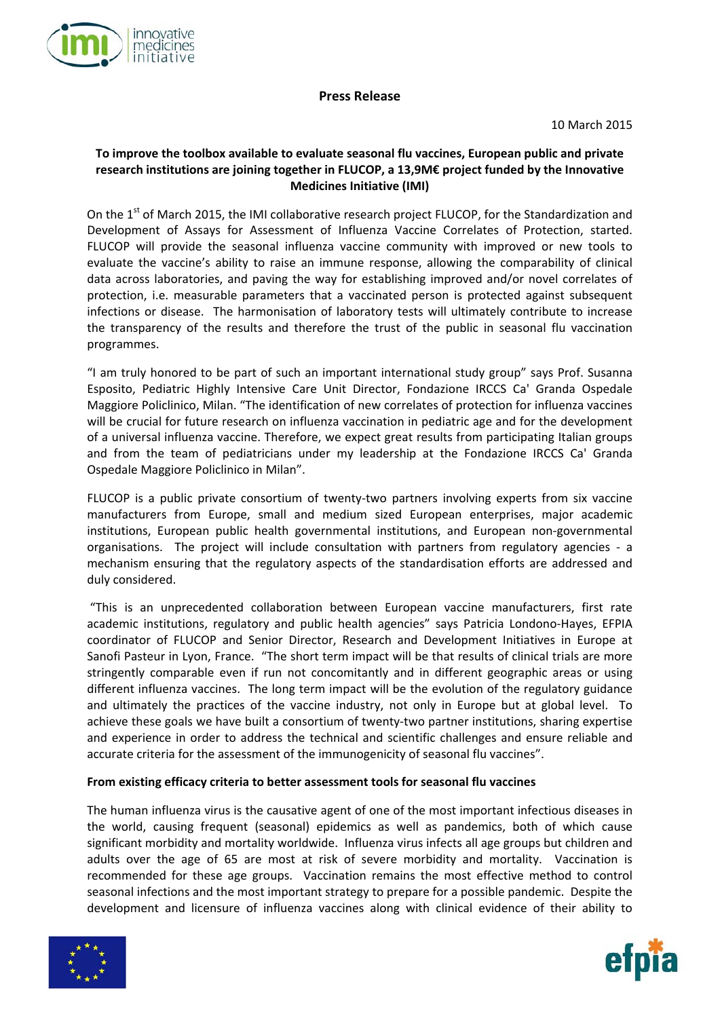

# **Press Release**

10 March 2015

# **To improve the toolbox available to evaluate seasonal flu vaccines, European public and private research institutions are joining together in FLUCOP, a 13,9M€ project funded by the Innovative Medicines Initiative (IMI)**

On the 1<sup>st</sup> of March 2015, the IMI collaborative research project FLUCOP, for the Standardization and Development of Assays for Assessment of Influenza Vaccine Correlates of Protection, started. FLUCOP will provide the seasonal influenza vaccine community with improved or new tools to evaluate the vaccine's ability to raise an immune response, allowing the comparability of clinical data across laboratories, and paving the way for establishing improved and/or novel correlates of protection, i.e. measurable parameters that a vaccinated person is protected against subsequent infections or disease. The harmonisation of laboratory tests will ultimately contribute to increase the transparency of the results and therefore the trust of the public in seasonal flu vaccination programmes.

"I am truly honored to be part of such an important international study group" says Prof. Susanna Esposito, Pediatric Highly Intensive Care Unit Director, Fondazione IRCCS Ca' Granda Ospedale Maggiore Policlinico, Milan. "The identification of new correlates of protection for influenza vaccines will be crucial for future research on influenza vaccination in pediatric age and for the development of a universal influenza vaccine. Therefore, we expect great results from participating Italian groups and from the team of pediatricians under my leadership at the Fondazione IRCCS Ca' Granda Ospedale Maggiore Policlinico in Milan".

FLUCOP is a public private consortium of twenty-two partners involving experts from six vaccine manufacturers from Europe, small and medium sized European enterprises, major academic institutions, European public health governmental institutions, and European non‐governmental organisations. The project will include consultation with partners from regulatory agencies - a mechanism ensuring that the regulatory aspects of the standardisation efforts are addressed and duly considered.

"This is an unprecedented collaboration between European vaccine manufacturers, first rate academic institutions, regulatory and public health agencies" says Patricia Londono‐Hayes, EFPIA coordinator of FLUCOP and Senior Director, Research and Development Initiatives in Europe at Sanofi Pasteur in Lyon, France. "The short term impact will be that results of clinical trials are more stringently comparable even if run not concomitantly and in different geographic areas or using different influenza vaccines. The long term impact will be the evolution of the regulatory guidance and ultimately the practices of the vaccine industry, not only in Europe but at global level. To achieve these goals we have built a consortium of twenty-two partner institutions, sharing expertise and experience in order to address the technical and scientific challenges and ensure reliable and accurate criteria for the assessment of the immunogenicity of seasonal flu vaccines".

# **From existing efficacy criteria to better assessment tools for seasonal flu vaccines**

The human influenza virus is the causative agent of one of the most important infectious diseases in the world, causing frequent (seasonal) epidemics as well as pandemics, both of which cause significant morbidity and mortality worldwide. Influenza virus infects all age groups but children and adults over the age of 65 are most at risk of severe morbidity and mortality. Vaccination is recommended for these age groups. Vaccination remains the most effective method to control seasonal infections and the most important strategy to prepare for a possible pandemic. Despite the development and licensure of influenza vaccines along with clinical evidence of their ability to